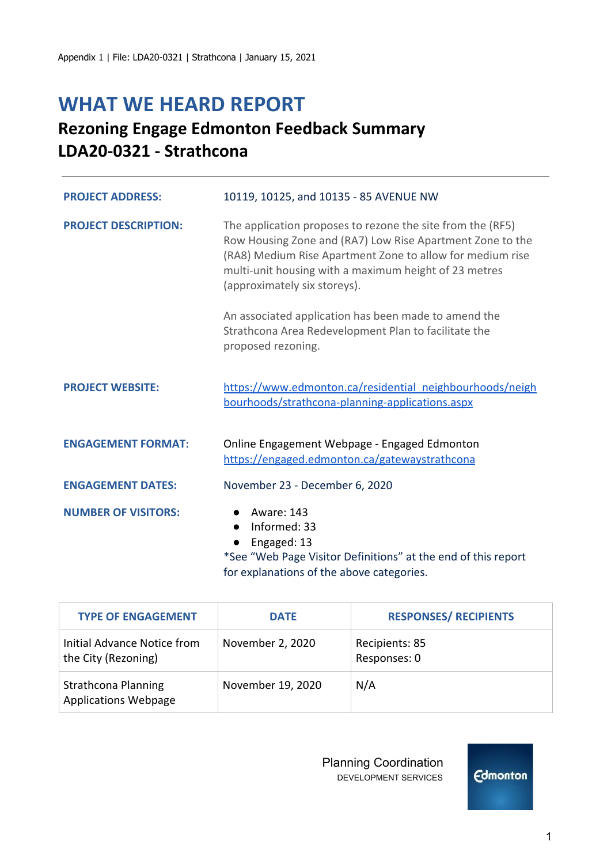# **WHAT WE HEARD REPORT**

## **Rezoning Engage Edmonton Feedback Summary LDA20-0321 - Strathcona**

| <b>PROJECT ADDRESS:</b>     | 10119, 10125, and 10135 - 85 AVENUE NW                                                                                                                                                                                                                                        |
|-----------------------------|-------------------------------------------------------------------------------------------------------------------------------------------------------------------------------------------------------------------------------------------------------------------------------|
| <b>PROJECT DESCRIPTION:</b> | The application proposes to rezone the site from the (RF5)<br>Row Housing Zone and (RA7) Low Rise Apartment Zone to the<br>(RA8) Medium Rise Apartment Zone to allow for medium rise<br>multi-unit housing with a maximum height of 23 metres<br>(approximately six storeys). |
|                             | An associated application has been made to amend the<br>Strathcona Area Redevelopment Plan to facilitate the<br>proposed rezoning.                                                                                                                                            |
| <b>PROJECT WEBSITE:</b>     | https://www.edmonton.ca/residential_neighbourhoods/neigh<br>bourhoods/strathcona-planning-applications.aspx                                                                                                                                                                   |
| <b>ENGAGEMENT FORMAT:</b>   | Online Engagement Webpage - Engaged Edmonton<br>https://engaged.edmonton.ca/gatewaystrathcona                                                                                                                                                                                 |
| <b>ENGAGEMENT DATES:</b>    | November 23 - December 6, 2020                                                                                                                                                                                                                                                |
| <b>NUMBER OF VISITORS:</b>  | Aware: 143<br>Informed: 33<br>Engaged: 13<br>*See "Web Page Visitor Definitions" at the end of this report                                                                                                                                                                    |

for explanations of the above categories. Т

| <b>TYPE OF ENGAGEMENT</b>                                 | <b>DATE</b>       | <b>RESPONSES/ RECIPIENTS</b>   |
|-----------------------------------------------------------|-------------------|--------------------------------|
| Initial Advance Notice from<br>the City (Rezoning)        | November 2, 2020  | Recipients: 85<br>Responses: 0 |
| <b>Strathcona Planning</b><br><b>Applications Webpage</b> | November 19, 2020 | N/A                            |

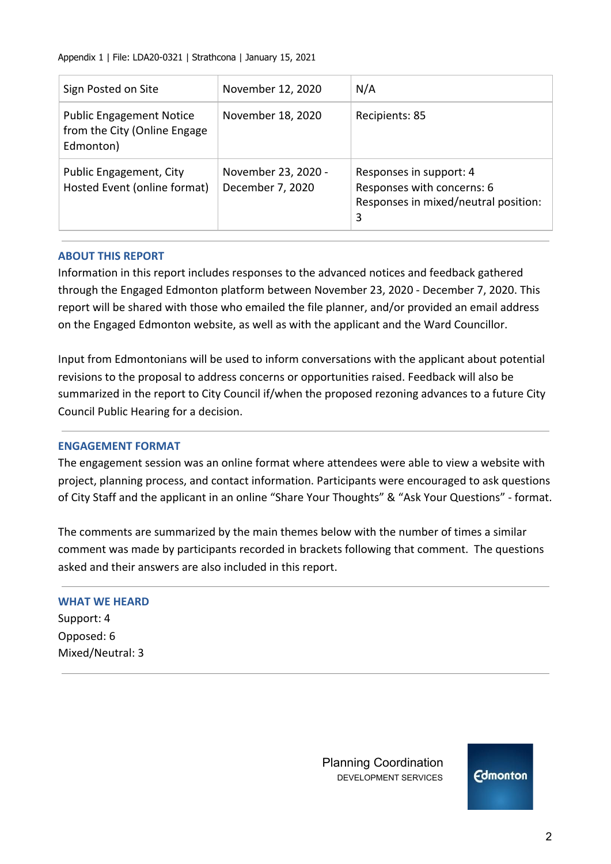Appendix 1 | File: LDA20-0321 | Strathcona | January 15, 2021

| Sign Posted on Site                                                          | November 12, 2020                       | N/A                                                                                                |
|------------------------------------------------------------------------------|-----------------------------------------|----------------------------------------------------------------------------------------------------|
| <b>Public Engagement Notice</b><br>from the City (Online Engage<br>Edmonton) | November 18, 2020                       | Recipients: 85                                                                                     |
| Public Engagement, City<br>Hosted Event (online format)                      | November 23, 2020 -<br>December 7, 2020 | Responses in support: 4<br>Responses with concerns: 6<br>Responses in mixed/neutral position:<br>3 |

## **ABOUT THIS REPORT**

Information in this report includes responses to the advanced notices and feedback gathered through the Engaged Edmonton platform between November 23, 2020 - December 7, 2020. This report will be shared with those who emailed the file planner, and/or provided an email address on the Engaged Edmonton website, as well as with the applicant and the Ward Councillor.

Input from Edmontonians will be used to inform conversations with the applicant about potential revisions to the proposal to address concerns or opportunities raised. Feedback will also be summarized in the report to City Council if/when the proposed rezoning advances to a future City Council Public Hearing for a decision.

#### **ENGAGEMENT FORMAT**

The engagement session was an online format where attendees were able to view a website with project, planning process, and contact information. Participants were encouraged to ask questions of City Staff and the applicant in an online "Share Your Thoughts" & "Ask Your Questions" - format.

The comments are summarized by the main themes below with the number of times a similar comment was made by participants recorded in brackets following that comment. The questions asked and their answers are also included in this report.

#### **WHAT WE HEARD**

Support: 4 Opposed: 6 Mixed/Neutral: 3

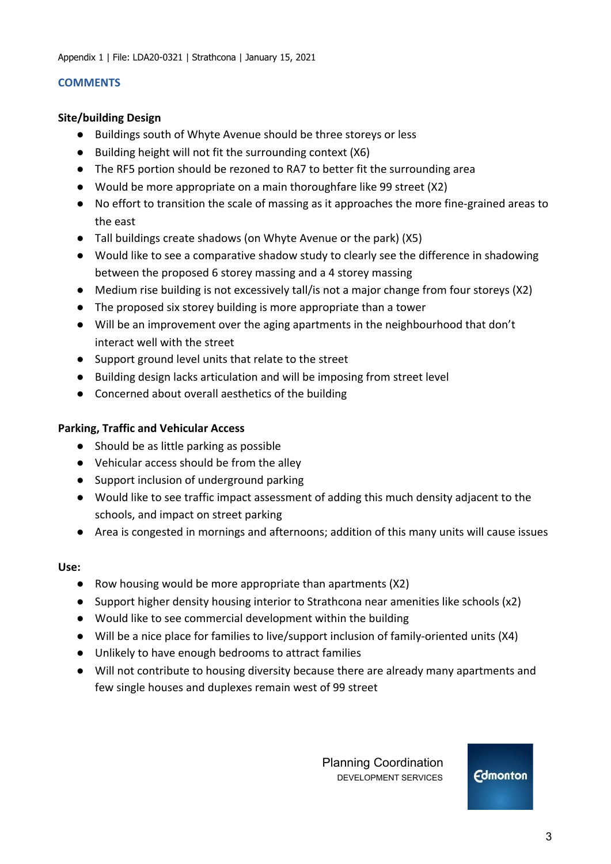#### **COMMENTS**

#### **Site/building Design**

- Buildings south of Whyte Avenue should be three storeys or less
- Building height will not fit the surrounding context (X6)
- The RF5 portion should be rezoned to RA7 to better fit the surrounding area
- Would be more appropriate on a main thoroughfare like 99 street (X2)
- No effort to transition the scale of massing as it approaches the more fine-grained areas to the east
- Tall buildings create shadows (on Whyte Avenue or the park) (X5)
- Would like to see a comparative shadow study to clearly see the difference in shadowing between the proposed 6 storey massing and a 4 storey massing
- Medium rise building is not excessively tall/is not a major change from four storeys (X2)
- The proposed six storey building is more appropriate than a tower
- Will be an improvement over the aging apartments in the neighbourhood that don't interact well with the street
- Support ground level units that relate to the street
- Building design lacks articulation and will be imposing from street level
- Concerned about overall aesthetics of the building

## **Parking, Traffic and Vehicular Access**

- Should be as little parking as possible
- Vehicular access should be from the alley
- Support inclusion of underground parking
- Would like to see traffic impact assessment of adding this much density adjacent to the schools, and impact on street parking
- Area is congested in mornings and afternoons; addition of this many units will cause issues

#### **Use:**

- Row housing would be more appropriate than apartments (X2)
- Support higher density housing interior to Strathcona near amenities like schools (x2)
- Would like to see commercial development within the building
- Will be a nice place for families to live/support inclusion of family-oriented units (X4)
- Unlikely to have enough bedrooms to attract families
- Will not contribute to housing diversity because there are already many apartments and few single houses and duplexes remain west of 99 street

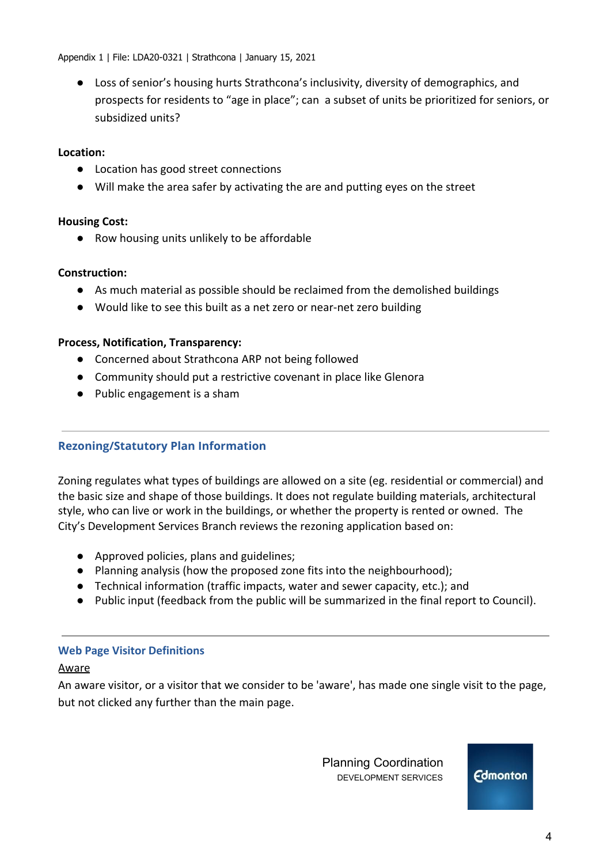Appendix 1 | File: LDA20-0321 | Strathcona | January 15, 2021

● Loss of senior's housing hurts Strathcona's inclusivity, diversity of demographics, and prospects for residents to "age in place"; can a subset of units be prioritized for seniors, or subsidized units?

## **Location:**

- Location has good street connections
- Will make the area safer by activating the are and putting eyes on the street

## **Housing Cost:**

● Row housing units unlikely to be affordable

## **Construction:**

- As much material as possible should be reclaimed from the demolished buildings
- Would like to see this built as a net zero or near-net zero building

## **Process, Notification, Transparency:**

- Concerned about Strathcona ARP not being followed
- Community should put a restrictive covenant in place like Glenora
- Public engagement is a sham

## **Rezoning/Statutory Plan Information**

Zoning regulates what types of buildings are allowed on a site (eg. residential or commercial) and the basic size and shape of those buildings. It does not regulate building materials, architectural style, who can live or work in the buildings, or whether the property is rented or owned. The City's Development Services Branch reviews the rezoning application based on:

- Approved policies, plans and guidelines;
- Planning analysis (how the proposed zone fits into the neighbourhood);
- Technical information (traffic impacts, water and sewer capacity, etc.); and
- Public input (feedback from the public will be summarized in the final report to Council).

## **Web Page Visitor Definitions**

#### Aware

An aware visitor, or a visitor that we consider to be 'aware', has made one single visit to the page, but not clicked any further than the main page.